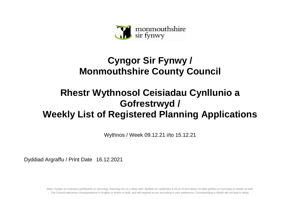

## **Cyngor Sir Fynwy / Monmouthshire County Council**

## **Rhestr Wythnosol Ceisiadau Cynllunio a Gofrestrwyd / Weekly List of Registered Planning Applications**

Wythnos / Week 09.12.21 i/to 15.12.21

Dyddiad Argraffu / Print Date 16.12.2021

Mae'r Cyngor yn croesawu gohebiaeth yn Gymraeg, Saesneg neu yn y ddwy iaith. Byddwn yn cyfathrebu â chi yn ôl eich dewis. Ni fydd gohebu yn Gymraeg yn arwain at oedi. The Council welcomes correspondence in English or Welsh or both, and will respond to you according to your preference. Corresponding in Welsh will not lead to delay.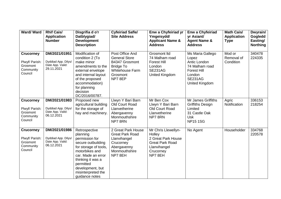| Ward/Ward                                                              | <b>Rhif Cais/</b><br><b>Application</b><br><b>Number</b>               | Disgrifia d o'r<br>Datblygiad/<br><b>Development</b><br><b>Description</b>                                                                                                                                                       | <b>Cyfeiriad Safle/</b><br><b>Site Address</b>                                                                                | Enw a Chyfeiriad yr<br>Ymgeisydd/<br><b>Applicant Name &amp;</b><br><b>Address</b>                                   | <b>Enw a Chyfeiriad</b><br>yr Asiant/<br><b>Agent Name &amp;</b><br><b>Address</b>                                                     | <b>Math Cais/</b><br><b>Application</b><br><b>Type</b> | Dwyrain/<br>Gogledd<br>Easting/<br><b>Northing</b> |
|------------------------------------------------------------------------|------------------------------------------------------------------------|----------------------------------------------------------------------------------------------------------------------------------------------------------------------------------------------------------------------------------|-------------------------------------------------------------------------------------------------------------------------------|----------------------------------------------------------------------------------------------------------------------|----------------------------------------------------------------------------------------------------------------------------------------|--------------------------------------------------------|----------------------------------------------------|
| <b>Crucorney</b><br>Plwyf/ Parish:<br>Grosmont<br>Community<br>Council | DM/2021/01951<br>Dyddiad App. Dilys/<br>Date App. Valid:<br>29.11.2021 | Modification of<br>condition 2 (To<br>make minor<br>amendments to the<br>external envelope<br>and internal layout<br>of the proposed<br>accommodation)<br>for planning<br>decision<br>DC/2016/00787.                             | Post Office And<br><b>General Store</b><br>B4347 Grosmont<br><b>Bridge To</b><br><b>Whitehouse Farm</b><br>Grosmont<br>NP78EP | <b>Grosmont Itd</b><br>74 Malham road<br><b>Forest Hill</b><br>London<br><b>SE231AG</b><br>United Kingdom            | Ms Maria Gallego<br>Lopez<br>Antic London<br>74 Malham road<br><b>Forest Hill</b><br>London<br><b>SE231AG</b><br><b>United Kingdom</b> | Mod or<br>Removal of<br>Condition                      | 340478<br>224335                                   |
| <b>Crucorney</b><br>Plwyf/ Parish:<br>Grosmont<br>Community<br>Council | DM/2021/01983<br>Dyddiad App. Dilys/<br>Date App. Valid:<br>06.12.2021 | Proposed new<br>agricultural building<br>for the storage of<br>hay and machinery.                                                                                                                                                | Llwyn Y Bari Barn<br>Old Court Road<br>Llanvetherine<br>Abergavenny<br>Monmouthshire<br>NP78RN                                | Mr Ben Cox<br>Llwyn Y Bari Barn<br>Old Court Road<br>Llanvetherine<br>NP78RN                                         | Mr James Griffiths<br><b>Griffiths Design</b><br>Limited<br>31 Castle Oak<br><b>Usk</b><br><b>NP15 1SG</b>                             | Agric<br>Notification                                  | 336153<br>218254                                   |
| <b>Crucorney</b><br>Plwyf/ Parish:<br>Grosmont<br>Community<br>Council | DM/2021/01986<br>Dyddiad App. Dilys/<br>Date App. Valid:<br>06.12.2021 | Retrospective<br>planning<br>permission for<br>secure outbuilding<br>for storage of tools,<br>motorbikes and<br>car. Made an error<br>thinking it was a<br>permitted<br>development, but<br>misinterpreted the<br>guidance notes | 2 Great Park House<br><b>Great Park Road</b><br>Llanvihangel<br>Crucorney<br>Abergavenny<br>Monmouthshire<br>NP78EH           | Mr Chris Llewellyn-<br>Holley<br>2 Great Park House<br><b>Great Park Road</b><br>Llanvihangel<br>Crucorney<br>NP78EH | No Agent                                                                                                                               | Householder                                            | 334768<br>220578                                   |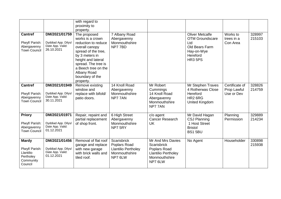|                                                                                  |                                                                        | with regard to<br>proximity to<br>property.                                                                                                                                                                                           |                                                                                       |                                                                                                            |                                                                                                                       |                                             |                  |
|----------------------------------------------------------------------------------|------------------------------------------------------------------------|---------------------------------------------------------------------------------------------------------------------------------------------------------------------------------------------------------------------------------------|---------------------------------------------------------------------------------------|------------------------------------------------------------------------------------------------------------|-----------------------------------------------------------------------------------------------------------------------|---------------------------------------------|------------------|
| <b>Cantref</b><br>Plwyf/ Parish:<br>Abergavenny<br><b>Town Council</b>           | DM/2021/01759<br>Dyddiad App. Dilys/<br>Date App. Valid:<br>26.10.2021 | The proposed<br>works is a crown<br>reduction to reduce<br>overall canopy<br>spread of the tree,<br>by 3 meters in<br>height and lateral<br>spread. The tree is<br>a Beech tree on the<br>Albany Road<br>boundary of the<br>property. | 7 Albany Road<br>Abergavenny<br>Monmouthshire<br>NP77BD                               |                                                                                                            | <b>Oliver Metcalfe</b><br><b>OTM Groundscare</b><br>Ltd<br>Old Bears Farm<br>Hay-on-Wye<br>Hereford<br><b>HR3 5PS</b> | Works to<br>trees in a<br>Con Area          | 328997<br>215103 |
| <b>Cantref</b><br>Plwyf/ Parish:<br>Abergavenny<br><b>Town Council</b>           | DM/2021/01949<br>Dyddiad App. Dilys/<br>Date App. Valid:<br>30.11.2021 | Remove existing<br>window and<br>replace with bifold/<br>patio doors.                                                                                                                                                                 | 14 Knoll Road<br>Abergavenny<br>Monmouthshire<br>NP777AN                              | Mr Robert<br>Cummings<br>14 Knoll Road<br>Abergavenny<br>Monmouthshire<br>NP777AN                          | Mr Stephen Traves<br>4 Rotherwas Close<br>Hereford<br>HR <sub>2</sub> 6RG<br>United Kingdom                           | Certificate of<br>Prop Lawful<br>Use or Dev | 328826<br>214759 |
| <b>Priory</b><br>Plwyf/ Parish:<br>Abergavenny<br><b>Town Council</b>            | DM/2021/01971<br>Dyddiad App. Dilys/<br>Date App. Valid:<br>01.12.2021 | Repair, repaint and<br>partial replacement<br>of shop front.                                                                                                                                                                          | 6 High Street<br>Abergavenny<br>Monmouthshire<br>NP7 5RY                              | c/o agent<br><b>Cancer Research</b><br><b>UK</b>                                                           | Mr David Hagan<br><b>CSJ Planning</b><br>1 Host Street<br><b>Bristol</b><br>BS15BU                                    | Planning<br>Permission                      | 329889<br>214234 |
| <b>Mardy</b><br>Plwyf/ Parish:<br>Llantilio<br>Pertholey<br>Community<br>Council | DM/2021/01456<br>Dyddiad App. Dilys/<br>Date App. Valid:<br>01.12.2021 | Removal of flat roof<br>garage and replace<br>with new garage<br>with brick walls and<br>tiled roof.                                                                                                                                  | Scarisbrick<br>Poplars Road<br><b>Llantilio Pertholey</b><br>Monmouthshire<br>NP7 6LW | Mr And Mrs Davies<br>Scarisbrick<br>Poplars Road<br><b>Llantilio Pertholey</b><br>Monmouthshire<br>NP7 6LW | No Agent                                                                                                              | Householder                                 | 330898<br>215938 |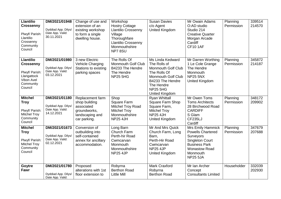| <b>Llantilio</b><br><b>Crossenny</b><br>Plwyf/ Parish:<br>Llantilio<br>Crossenny<br>Community<br>Council    | DM/2021/01948<br>Dyddiad App. Dilys/<br>Date App. Valid:<br>30.11.2021 | Change of use and<br>extension of an<br>existing workshop<br>to form a single<br>dwelling house.   | Workshop<br><b>Hostry Cottage</b><br><b>Llantilio Crossenny</b><br>Village<br>Thoroughfare<br><b>Llantilio Crossenny</b><br>Monmouthshire<br>NP78SU | <b>Susan Davies</b><br>c/o Agent<br><b>United Kingdom</b>                                                                                                                  | Mr Owain Adams<br>O:AD studio<br>Studio 214<br><b>Creative Quarter</b><br>Morgan Arcade<br>Cardiff<br><b>CF10 1AF</b>                                               | Planning<br>Permission | 339514<br>214570 |
|-------------------------------------------------------------------------------------------------------------|------------------------------------------------------------------------|----------------------------------------------------------------------------------------------------|-----------------------------------------------------------------------------------------------------------------------------------------------------|----------------------------------------------------------------------------------------------------------------------------------------------------------------------------|---------------------------------------------------------------------------------------------------------------------------------------------------------------------|------------------------|------------------|
| <b>Llantilio</b><br><b>Crossenny</b><br>Plwyf/ Parish:<br>Llangattock<br>Vibon Avel<br>Community<br>Council | DM/2021/01980<br>Dyddiad App. Dilys/<br>Date App. Valid:<br>03.12.2021 | 3 new Electric<br>Vehicle Charging<br>Stations to existing<br>parking spaces                       | The Rolls Of<br>Monmouth Golf Club<br>B4233 The Hendre<br>The Hendre<br><b>NP25 5HG</b>                                                             | Ms Linda Kedward<br>The Rolls of<br>Monmouth Golf Club<br>The Rolls Of<br><b>Monmouth Golf Club</b><br>B4233 The Hendre<br>The Hendre<br><b>NP25 5HG</b><br>United Kingdom | Mr Darren Worthing<br>1 Le Cole Grange<br>The Hendre<br>Monmouth<br><b>NP25 5NX</b><br><b>United Kingdom</b>                                                        | Planning<br>Permission | 345872<br>214187 |
| <b>Mitchel</b><br><b>Troy</b><br>Plwyf/ Parish:<br><b>Mitchel Troy</b><br>Community<br>Council              | DM/2021/01180<br>Dyddiad App. Dilys/<br>Date App. Valid:<br>14.12.2021 | Replacement farm<br>shop building<br>associated<br>groundworks,<br>landscaping and<br>car parking. | Shop<br>Square Farm<br>Mitchel Troy Road<br><b>Mitchel Troy</b><br>Monmouthshire<br><b>NP25 4JH</b>                                                 | <b>Ryan Whittall</b><br>Square Farm Shop<br>Square Farm,<br><b>Mitchel Troy</b><br><b>NP25 4JH</b><br><b>United Kingdom</b>                                                | Mr Owen Toms<br><b>Toms Architects</b><br>28 Birchwood Road<br><b>CARDIFF</b><br>S Glam<br><b>CF235LJ</b><br>Cardiff                                                | Planning<br>Permission | 348172<br>209902 |
| <b>Mitchel</b><br><b>Troy</b><br>Plwyf/ Parish:<br><b>Mitchel Troy</b><br>Community<br>Council              | DM/2021/01673<br>Dyddiad App. Dilys/<br>Date App. Valid:<br>02.12.2021 | Conversion of<br>outbuilding into<br>self-contained<br>annex for ancillary<br>accommodation.       | Long Barn<br>Church Farm<br>Perth-hir Road<br>Cwmcarvan<br>Monmouth<br>Monmouthshire<br><b>NP25 4JP</b>                                             | Mr And Mrs Quick<br>Church Farm, Long<br>Barn,<br>Perth-Hir Road<br>Cwmcarvan<br><b>NP25 4JP</b><br><b>United Kingdom</b>                                                  | Mrs Emily Hammick<br><b>Powells Chartered</b><br>Surveyors<br><b>Singleton Court</b><br><b>Business Park</b><br><b>Wonastow Road</b><br>Monmouth<br><b>NP25 5JA</b> | Planning<br>Permission | 347679<br>207688 |
| Goytre<br><b>Fawr</b>                                                                                       | DM/2021/01780<br>Dyddiad App. Dilys/<br>Date App. Valid:               | Proposed<br>alterations with 1st<br>floor extension to                                             | Robyrna<br><b>Berthon Road</b><br><b>Little Mill</b>                                                                                                | Mark Craxford<br>Robyrna<br><b>Berthon Road</b>                                                                                                                            | Mr Ian Archer<br>Concept<br><b>Consultants Limited</b>                                                                                                              | Householder            | 332039<br>202930 |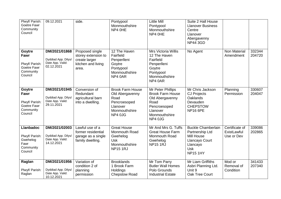| Plwyf/ Parish:<br>Goetre Fawr<br>Community<br>Council                          | 09.12.2021                                                             | side.                                                                                  | Pontypool<br>Monmouthshire<br>NP4 0HE                                                                      | <b>Little Mill</b><br>Pontypool<br>Monmouthshire<br>NP4 OHE                                                                     | Suite 2 Hall House<br><b>Llanover Business</b><br>Centre<br>Llanover<br>Abergavenny<br><b>NP44 3GD</b>                           |                                             |                  |
|--------------------------------------------------------------------------------|------------------------------------------------------------------------|----------------------------------------------------------------------------------------|------------------------------------------------------------------------------------------------------------|---------------------------------------------------------------------------------------------------------------------------------|----------------------------------------------------------------------------------------------------------------------------------|---------------------------------------------|------------------|
| Goytre<br>Fawr<br>Plwyf/ Parish:<br>Goetre Fawr<br>Community<br>Council        | DM/2021/01868<br>Dyddiad App. Dilys/<br>Date App. Valid:<br>02.12.2021 | Proposed single<br>storey extension to<br>create larger<br>kitchen and living<br>area. | 12 The Haven<br>Fairfield<br>Penperlleni<br>Goytre<br>Pontypool<br>Monmouthshire<br>NP4 0AR                | Mrs Victoria Willis<br>12 The Haven<br>Fairfield<br>Penperlleni<br>Goytre<br>Pontypool<br>Monmouthshire<br>NP4 0AR              | No Agent                                                                                                                         | <b>Non Material</b><br>Amendment            | 332344<br>204720 |
| Goytre<br>Fawr<br>Plwyf/ Parish:<br>Goetre Fawr<br>Community<br>Council        | DM/2021/01945<br>Dyddiad App. Dilys/<br>Date App. Valid:<br>29.11.2021 | Conversion of<br>Redundant<br>agricultural barn<br>into a dwelling.                    | <b>Brook Farm House</b><br>Old Abergavenny<br>Road<br>Pencroesoped<br>Llanover<br>Monmouthshire<br>NP4 0JG | Mr Peter Phillips<br><b>Brook Farm House</b><br>Old Abergavenny<br>Road<br>Pencroesoped<br>Llanover<br>Monmouthshire<br>NP4 0JG | Mr Chris Jackson<br><b>CJ Projects</b><br><b>Oaklands</b><br>Devauden<br><b>CHEPSTOW</b><br><b>NP16 6PE</b>                      | Planning<br>Permission                      | 330607<br>204047 |
| <b>Llanbadoc</b><br>Plwyf/ Parish:<br>Gwehelog<br>Fawr<br>Community<br>Council | DM/2021/02003<br>Dyddiad App. Dilys/<br>Date App. Valid:<br>14.12.2021 | Lawful use of a<br>former residential<br>garage as a single<br>family dwelling.        | <b>Great House</b><br>Monmouth Road<br>Gwehelog<br><b>Usk</b><br>Monmouthshire<br><b>NP15 1RJ</b>          | Mr And Mrs G. Tuffs<br><b>Great House Farm</b><br>Monmouth Road<br>Gwehelog<br><b>NP15 1RJ</b>                                  | <b>Buckle Chamberlain</b><br>Partnership Ltd<br><b>Mill House</b><br>Llancayo Court<br>Llancayo<br><b>Usk</b><br><b>NP15 1HY</b> | Certificate of<br>ExistLawful<br>Use or Dev | 339086<br>202865 |
| Raglan<br>Plwyf/ Parish:<br>Raglan                                             | DM/2021/01956<br>Dyddiad App. Dilys/<br>Date App. Valid:<br>10.12.2021 | Variation of<br>condition 2 of<br>planning<br>permission                               | <b>Brooklands</b><br>1 Brook Farm<br>Holdings<br><b>Chepstow Road</b>                                      | Mr Tom Parry<br><b>Butler Wall Homes</b><br>Polo Grounds<br><b>Industrial Estate</b>                                            | Mr Liam Griffiths<br>Asbri Planning Ltd.<br>Unit 9<br>Oak Tree Court                                                             | Mod or<br>Removal of<br>Condition           | 341433<br>207340 |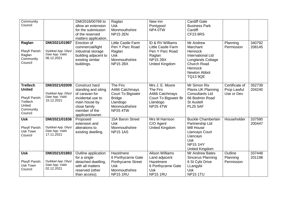| Community<br>Council                                                                             |                                                                        | DM/2018/00769 to<br>allow an extension<br>for the submission<br>of the reserved                                                                    | Raglan<br><b>Usk</b><br>Monmouthshire<br><b>NP15 2EN</b>                                                         | New Inn<br>Pontypool<br>NP4 0TW                                                                                        | Cardiff Gate<br><b>Business Park</b><br>Cardiff<br><b>CF23 8RS</b>                                                                                           |                                             |                  |
|--------------------------------------------------------------------------------------------------|------------------------------------------------------------------------|----------------------------------------------------------------------------------------------------------------------------------------------------|------------------------------------------------------------------------------------------------------------------|------------------------------------------------------------------------------------------------------------------------|--------------------------------------------------------------------------------------------------------------------------------------------------------------|---------------------------------------------|------------------|
| Raglan<br>Plwyf/ Parish:<br>Raglan<br>Community<br>Council                                       | DM/2021/01987<br>Dyddiad App. Dilys/<br>Date App. Valid:<br>06.12.2021 | matters application.<br>Erection of<br>commercial/light<br>industrial storage<br>building adjacent to<br>existing similar<br>buildings.            | Little Castle Farm<br>Pen Y Parc Road<br>Raglan<br><b>Usk</b><br>Monmouthshire<br><b>NP15 2BX</b>                | ID & RV Williams<br><b>Little Castle Farm</b><br>Pen Y Parc Road<br>Raglan<br><b>NP15 2BX</b><br><b>United Kingdom</b> | Mr Andrew<br>Marchant<br><b>Hennock</b><br><b>International Ltd</b><br>Longlands Cottage<br>Church Road<br><b>Hennock</b><br>Newton Abbot<br><b>TQ13 9QE</b> | Planning<br>Permission                      | 340792<br>208145 |
| <b>Trellech</b><br><b>United</b><br>Plwyf/ Parish:<br>Trellech<br>United<br>Community<br>Council | DM/2021/02009<br>Dyddiad App. Dilys/<br>Date App. Valid:<br>15.12.2021 | Construct hard<br>standing and siting<br>of caravan for<br>incidental use to<br>main house by<br>close family<br>member of the<br>applicant/owner. | The Firs<br>A466 Catchmays<br>Court To Bigsweir<br><b>Bridge</b><br>Llandogo<br>Monmouthshire<br><b>NP25 4TW</b> | Mrs J. E. Moore<br>The Firs<br>A466 Catchmays<br>Court To Bigsweir Br<br>Llandogo<br><b>NP25 4TW</b>                   | <b>Mr Simon Rix</b><br>Planix.UK Planning<br><b>Consultants Ltd</b><br>66 Bodmin Road<br><b>St Austell</b><br><b>PL25 5AF</b>                                | Certificate of<br>Prop Lawful<br>Use or Dev | 352739<br>204240 |
| <b>Usk</b><br>Plwyf/ Parish:<br>Usk Town<br>Council                                              | DM/2021/01836<br>Dyddiad App. Dilys/<br>Date App. Valid:<br>17.11.2021 | Proposed<br>extension and<br>alterations to<br>existing dwelling.                                                                                  | 15A Baron Street<br><b>Usk</b><br>Monmouthshire<br><b>NP15 1AS</b>                                               | Mrs M Harrison<br>C/O Agent<br><b>United Kingdom</b>                                                                   | <b>Buckle Chamberlain</b><br>Partnership Ltd<br>Mill House<br>Llancayo Court<br>Llancayo<br><b>Usk</b><br><b>NP15 1HY</b><br>United Kingdom                  | Householder                                 | 337580<br>200447 |
| <b>Usk</b><br>Plwyf/ Parish:<br>Usk Town<br>Council                                              | DM/2021/01883<br>Dyddiad App. Dilys/<br>Date App. Valid:<br>02.12.2021 | Outline application<br>for a single<br>detached dwelling,<br>with all matters<br>reserved (other<br>than access).                                  | Hazelmere<br>6 Porthycarne Gate<br><b>Porthycarne Street</b><br><b>Usk</b><br>Monmouthshire<br><b>NP15 1RU</b>   | <b>Alison Williams</b><br>Land adjacent<br>Hazelmere<br>6 Porthycarne Gate<br><b>Usk</b><br><b>NP15 1RU</b>            | <b>Mr Andrew Bates</b><br>Sincerus Planning<br>6 St Cybi Drive<br>LLangybi<br><b>Usk</b><br><b>NP15 1TU</b>                                                  | Outline<br>Planning<br>Permission           | 337448<br>201198 |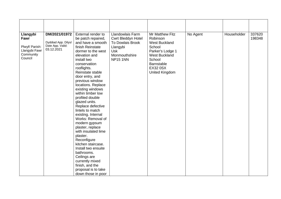| Llangybi<br>Fawr<br>Plwyf/ Parish:<br>Llangybi Fawr<br>Community | DM/2021/01972<br>Dyddiad App. Dilys/<br>Date App. Valid:<br>03.12.2021 | External render to<br>be patch repaired,<br>and have a smooth<br>finish Reinstate<br>dormer to the west<br>elevation and                                                                                                                                                                    | Llandowlais Farm<br>Cwrt Bleddyn Hotel<br>To Dowlais Brook<br>Llangybi<br><b>Usk</b><br>Monmouthshire | Mr Matthew Fitz<br>Robinson<br><b>West Buckland</b><br>School<br>Parker's Lodge 1<br><b>West Buckland</b> | No Agent | Householder | 337620<br>198348 |
|------------------------------------------------------------------|------------------------------------------------------------------------|---------------------------------------------------------------------------------------------------------------------------------------------------------------------------------------------------------------------------------------------------------------------------------------------|-------------------------------------------------------------------------------------------------------|-----------------------------------------------------------------------------------------------------------|----------|-------------|------------------|
| Council                                                          |                                                                        | install two<br>conservation<br>rooflights.<br>Reinstate stable<br>door entry, and<br>previous window<br>locations. Replace<br>existing windows<br>within timber low<br>profiled double<br>glazed units.<br>Replace defective<br>lintels to match<br>existing. Internal<br>Works: Removal of | <b>NP15 1NN</b>                                                                                       | School<br><b>Barnstable</b><br><b>EX32 0SX</b><br>United Kingdom                                          |          |             |                  |
|                                                                  |                                                                        | modern gypsum<br>plaster, replace<br>with insulated lime<br>plaster.<br>Reconfigure<br>kitchen staircase.<br>Install two ensuite<br>bathrooms.<br>Ceilings are<br>currently mixed<br>finish, and the<br>proposal is to take<br>down those in poor                                           |                                                                                                       |                                                                                                           |          |             |                  |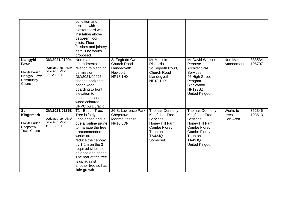| Llangybi<br>Fawr<br>Plwyf/ Parish:<br>Llangybi Fawr<br>Community<br>Council | DM/2021/01994<br>Dyddiad App. Dilys/<br>Date App. Valid:<br>08.12.2021 | condition and<br>replace with<br>plasterboard with<br>insulation above<br>between floor<br>joists. Floor<br>finishes and joinery<br>details no works<br>proposed.<br>Non material<br>amendments in<br>relation to planning<br>permission<br>DM/2021/00926 -<br>change horizontal<br>cedar wood<br>boarding to front<br>elevation to<br>horizontal cedar<br>wood coloured<br><b>UPVC</b> bu Duracid | St Tegfedd Cwrt<br><b>Church Road</b><br>Llandegveth<br>Newport<br><b>NP18 1HX</b> | Mr Malcolm<br>Richards<br>St Tegveth Court,<br><b>Church Road</b><br>Llandegveth<br><b>NP18 1HX</b>                                           | Mr David Watkins<br>Penrose<br>Architectural<br><b>Services</b><br>46 High Street<br>Pengam<br>Blackwood<br><b>NP123SZ</b><br>United Kingdom          | <b>Non Material</b><br>Amendment   | 333534<br>195707 |
|-----------------------------------------------------------------------------|------------------------------------------------------------------------|----------------------------------------------------------------------------------------------------------------------------------------------------------------------------------------------------------------------------------------------------------------------------------------------------------------------------------------------------------------------------------------------------|------------------------------------------------------------------------------------|-----------------------------------------------------------------------------------------------------------------------------------------------|-------------------------------------------------------------------------------------------------------------------------------------------------------|------------------------------------|------------------|
| <b>St</b><br>Kingsmark<br>Plwyf/ Parish:<br>Chepstow<br><b>Town Council</b> | DM/2021/01858<br>Dyddiad App. Dilys/<br>Date App. Valid:<br>10.11.2021 | T1 - Beech Tree.<br>Tree is fairly<br>unbalanced and is<br>due a routine prune<br>to manage the tree<br>- recommended<br>works are to<br>reduce the canopy<br>by 1-2m on the 3<br>required sides to<br>balance and shape.<br>The rear of the tree<br>is up against<br>another tree so has<br>little growth.                                                                                        | 26 St Lawrence Park<br>Chepstow<br>Monmouthshire<br><b>NP16 6DP</b>                | Thomas Dennehy<br><b>Kingfisher Tree</b><br><b>Services</b><br>Honey Hill Farm<br><b>Combe Florey</b><br>Taunton<br><b>TA43JQ</b><br>Somerset | Thomas Dennehy<br><b>Kingfisher Tree</b><br><b>Services</b><br>Honey Hill Farm<br>Combe Florey<br>Combe Florey<br>Taunton<br>TA43JQ<br>United Kingdom | Works to<br>trees in a<br>Con Area | 352346<br>193513 |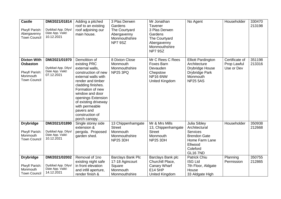| <b>Castle</b><br>Plwyf/ Parish:<br>Abergavenny<br><b>Town Council</b>                      | DM/2021/01814<br>Dyddiad App. Dilys/<br>Date App. Valid:<br>10.12.2021 | Adding a pitched<br>roof to an existing<br>roof adjoining our<br>main house.                                                                                                                                                                                                                       | 3 Plas Derwen<br>Gardens<br>The Courtyard<br>Abergavenny<br>Monmouthshire<br>NP79SZ | Mr Jonathan<br>Tavener<br>3 Plas Derwen<br>Gardens<br>The Courtyard<br>Abergavenny<br>Monmouthshire<br>NP7 9SZ | No Agent                                                                                                                                   | Householder                                 | 330470<br>213198 |
|--------------------------------------------------------------------------------------------|------------------------------------------------------------------------|----------------------------------------------------------------------------------------------------------------------------------------------------------------------------------------------------------------------------------------------------------------------------------------------------|-------------------------------------------------------------------------------------|----------------------------------------------------------------------------------------------------------------|--------------------------------------------------------------------------------------------------------------------------------------------|---------------------------------------------|------------------|
| <b>Dixton With</b><br><b>Osbaston</b><br>Plwyf/ Parish:<br>Monmouth<br><b>Town Council</b> | DM/2021/01970<br>Dyddiad App. Dilys/<br>Date App. Valid:<br>07.12.2021 | Demolition of<br>existing PRC<br>external walls,<br>construction of new<br>external walls with<br>render and timber<br>cladding finishes.<br>Formation of new<br>window and door<br>openings Extension<br>of existing driveway<br>with permeable<br>pavers and<br>construction of<br>porch canopy. | 8 Dixton Close<br>Monmouth<br>Monmouthshire<br><b>NP25 3PQ</b>                      | Mr C Rees C Rees<br>Foxes Barn<br>Devauden<br>Chepstow<br>NP16 6NW<br><b>United Kingdom</b>                    | <b>Elliott Pardington</b><br>Architecture<br><b>Drybridge House</b><br>Drybridge Park<br>Monmouth<br><b>NP25 5AS</b>                       | Certificate of<br>Prop Lawful<br>Use or Dev | 351198<br>213316 |
| <b>Drybridge</b><br>Plwyf/ Parish:<br>Monmouth<br><b>Town Council</b>                      | DM/2021/01890<br>Dyddiad App. Dilys/<br>Date App. Valid:<br>10.12.2021 | Single storey side<br>extension &<br>pergola. Proposed<br>garden shed.                                                                                                                                                                                                                             | 13 Chippenhamgate<br><b>Street</b><br>Monmouth<br>Monmouthshire<br><b>NP25 3DH</b>  | Mr & Mrs Mills<br>13, Chippenhamgate<br><b>Street</b><br>Monmouth<br><b>NP25 3DH</b>                           | <b>Julia Sibley</b><br>Architectural<br><b>Services</b><br><b>Brendon Gate</b><br>Home Farm Lane<br>Ellwood<br>Coleford<br><b>GL16 7ND</b> | Householder                                 | 350938<br>212668 |
| <b>Drybridge</b><br>Plwyf/ Parish:<br>Monmouth<br><b>Town Council</b>                      | DM/2021/02002<br>Dyddiad App. Dilys/<br>Date App. Valid:<br>14.12.2021 | Removal of 1no<br>existing night safe<br>in front elevation<br>and infill aperture,<br>render finish &                                                                                                                                                                                             | Barclays Bank Plc<br>17-18 Agincourt<br>Square<br>Monmouth<br>Monmouthshire         | Barclays Bank plc<br>Churchill Place,<br>Canary Wharf<br>E14 5HP<br>United Kingdom                             | <b>Patrick Chiu</b><br><b>ISG Ltd</b><br>7th Floor, Aldgate<br>House<br>33 Aldgate High                                                    | Planning<br>Permission                      | 350755<br>212865 |